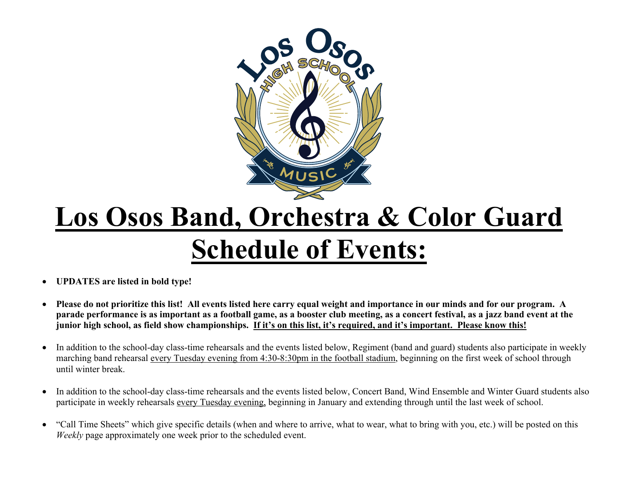

## **Los Osos Band, Orchestra & Color Guard Schedule of Events:**

- **UPDATES are listed in bold type!**
- **Please do not prioritize this list! All events listed here carry equal weight and importance in our minds and for our program. A parade performance is as important as a football game, as a booster club meeting, as a concert festival, as a jazz band event at the junior high school, as field show championships. If it's on this list, it's required, and it's important. Please know this!**
- In addition to the school-day class-time rehearsals and the events listed below, Regiment (band and guard) students also participate in weekly marching band rehearsal every Tuesday evening from 4:30-8:30pm in the football stadium, beginning on the first week of school through until winter break.
- In addition to the school-day class-time rehearsals and the events listed below, Concert Band, Wind Ensemble and Winter Guard students also participate in weekly rehearsals every Tuesday evening, beginning in January and extending through until the last week of school.
- "Call Time Sheets" which give specific details (when and where to arrive, what to wear, what to bring with you, etc.) will be posted on this *Weekly* page approximately one week prior to the scheduled event.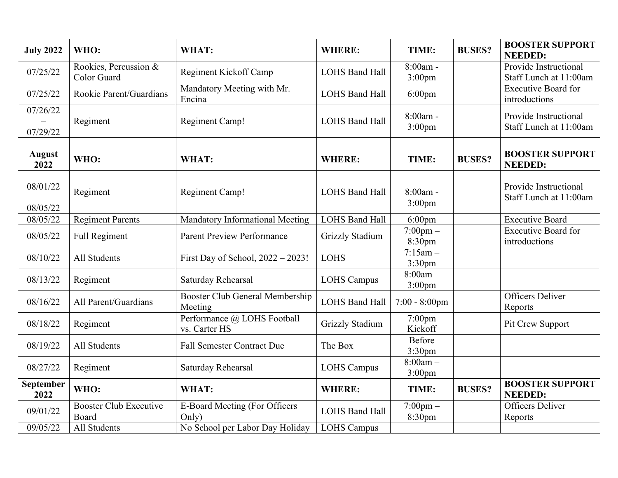| <b>July 2022</b>      | WHO:                                   | WHAT:                                         | <b>WHERE:</b>          | TIME:                               | <b>BUSES?</b> | <b>BOOSTER SUPPORT</b><br><b>NEEDED:</b>        |
|-----------------------|----------------------------------------|-----------------------------------------------|------------------------|-------------------------------------|---------------|-------------------------------------------------|
| 07/25/22              | Rookies, Percussion &<br>Color Guard   | Regiment Kickoff Camp                         | <b>LOHS Band Hall</b>  | $8:00am -$<br>$3:00$ pm             |               | Provide Instructional<br>Staff Lunch at 11:00am |
| 07/25/22              | Rookie Parent/Guardians                | Mandatory Meeting with Mr.<br>Encina          | <b>LOHS Band Hall</b>  | $6:00$ pm                           |               | <b>Executive Board for</b><br>introductions     |
| 07/26/22<br>07/29/22  | Regiment                               | <b>Regiment Camp!</b>                         | <b>LOHS Band Hall</b>  | 8:00am -<br>$3:00$ pm               |               | Provide Instructional<br>Staff Lunch at 11:00am |
| <b>August</b><br>2022 | WHO:                                   | WHAT:                                         | <b>WHERE:</b>          | TIME:                               | <b>BUSES?</b> | <b>BOOSTER SUPPORT</b><br><b>NEEDED:</b>        |
| 08/01/22<br>08/05/22  | Regiment                               | Regiment Camp!                                | <b>LOHS Band Hall</b>  | $8:00am -$<br>$3:00$ pm             |               | Provide Instructional<br>Staff Lunch at 11:00am |
| 08/05/22              | <b>Regiment Parents</b>                | <b>Mandatory Informational Meeting</b>        | <b>LOHS Band Hall</b>  | $6:00$ pm                           |               | <b>Executive Board</b>                          |
| 08/05/22              | <b>Full Regiment</b>                   | <b>Parent Preview Performance</b>             | <b>Grizzly Stadium</b> | $7:00$ pm $-$<br>8:30pm             |               | <b>Executive Board for</b><br>introductions     |
| 08/10/22              | All Students                           | First Day of School, 2022 - 2023!             | <b>LOHS</b>            | $7:15am -$<br>3:30 <sub>pm</sub>    |               |                                                 |
| 08/13/22              | Regiment                               | Saturday Rehearsal                            | <b>LOHS Campus</b>     | $8:00am -$<br>$3:00$ pm             |               |                                                 |
| 08/16/22              | All Parent/Guardians                   | Booster Club General Membership<br>Meeting    | <b>LOHS Band Hall</b>  | $7:00 - 8:00$ pm                    |               | <b>Officers Deliver</b><br>Reports              |
| 08/18/22              | Regiment                               | Performance @ LOHS Football<br>vs. Carter HS  | <b>Grizzly Stadium</b> | $7:00$ pm<br>Kickoff                |               | Pit Crew Support                                |
| 08/19/22              | All Students                           | <b>Fall Semester Contract Due</b>             | The Box                | <b>Before</b><br>3:30 <sub>pm</sub> |               |                                                 |
| 08/27/22              | Regiment                               | Saturday Rehearsal                            | <b>LOHS Campus</b>     | $8:00am -$<br>$3:00$ pm             |               |                                                 |
| September<br>2022     | WHO:                                   | WHAT:                                         | <b>WHERE:</b>          | TIME:                               | <b>BUSES?</b> | <b>BOOSTER SUPPORT</b><br><b>NEEDED:</b>        |
| 09/01/22              | <b>Booster Club Executive</b><br>Board | <b>E-Board Meeting (For Officers</b><br>Only) | <b>LOHS Band Hall</b>  | $7:00 \text{pm} -$<br>8:30pm        |               | <b>Officers Deliver</b><br>Reports              |
| 09/05/22              | All Students                           | No School per Labor Day Holiday               | <b>LOHS Campus</b>     |                                     |               |                                                 |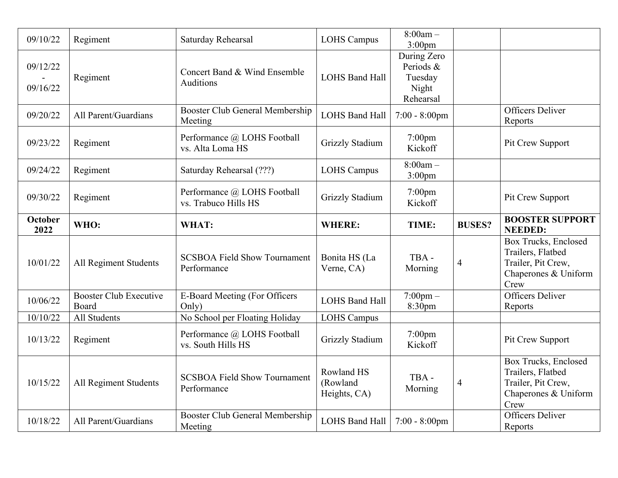| 09/10/22             | Regiment                               | Saturday Rehearsal                                                                    | <b>LOHS Campus</b>                     | $8:00am -$<br>3:00 <sub>pm</sub>                          |                |                                                                                                                                   |
|----------------------|----------------------------------------|---------------------------------------------------------------------------------------|----------------------------------------|-----------------------------------------------------------|----------------|-----------------------------------------------------------------------------------------------------------------------------------|
| 09/12/22<br>09/16/22 | Regiment                               | Concert Band & Wind Ensemble<br>Auditions                                             | <b>LOHS Band Hall</b>                  | During Zero<br>Periods &<br>Tuesday<br>Night<br>Rehearsal |                |                                                                                                                                   |
| 09/20/22             | All Parent/Guardians                   | Booster Club General Membership<br>Meeting                                            | <b>LOHS Band Hall</b>                  | $7:00 - 8:00$ pm                                          |                | <b>Officers Deliver</b><br>Reports                                                                                                |
| 09/23/22             | Regiment                               | Performance @ LOHS Football<br>vs. Alta Loma HS                                       | <b>Grizzly Stadium</b>                 | $7:00$ pm<br>Kickoff                                      |                | Pit Crew Support                                                                                                                  |
| 09/24/22             | Regiment                               | Saturday Rehearsal (???)                                                              | <b>LOHS Campus</b>                     | $8:00am -$<br>$3:00$ pm                                   |                |                                                                                                                                   |
| 09/30/22             | Regiment                               | Performance @ LOHS Football<br>vs. Trabuco Hills HS                                   | <b>Grizzly Stadium</b>                 | $7:00$ pm<br>Kickoff                                      |                | Pit Crew Support                                                                                                                  |
| <b>October</b>       | WHO:                                   | WHAT:                                                                                 | <b>WHERE:</b>                          | TIME:                                                     | <b>BUSES?</b>  | <b>BOOSTER SUPPORT</b><br><b>NEEDED:</b>                                                                                          |
| 2022                 |                                        |                                                                                       |                                        |                                                           |                |                                                                                                                                   |
| 10/01/22             | All Regiment Students                  | <b>SCSBOA Field Show Tournament</b><br>Performance                                    | Bonita HS (La<br>Verne, CA)            | TBA-<br>Morning                                           | $\overline{4}$ | Box Trucks, Enclosed<br>Trailers, Flatbed<br>Trailer, Pit Crew,<br>Chaperones & Uniform<br>Crew                                   |
| 10/06/22             | <b>Booster Club Executive</b><br>Board | <b>E-Board Meeting (For Officers</b><br>Only)                                         | <b>LOHS Band Hall</b>                  | $7:00 \text{pm} -$<br>8:30pm                              |                | <b>Officers Deliver</b><br>Reports                                                                                                |
| 10/10/22             | All Students                           | No School per Floating Holiday                                                        | <b>LOHS Campus</b>                     |                                                           |                |                                                                                                                                   |
| 10/13/22             | Regiment                               | Performance @ LOHS Football<br>vs. South Hills HS                                     | <b>Grizzly Stadium</b>                 | $7:00$ pm<br>Kickoff                                      |                | Pit Crew Support                                                                                                                  |
| 10/15/22             | All Regiment Students                  | <b>SCSBOA Field Show Tournament</b><br>Performance<br>Booster Club General Membership | Rowland HS<br>(Rowland<br>Heights, CA) | TBA-<br>Morning                                           | $\overline{4}$ | <b>Box Trucks, Enclosed</b><br>Trailers, Flatbed<br>Trailer, Pit Crew,<br>Chaperones & Uniform<br>Crew<br><b>Officers Deliver</b> |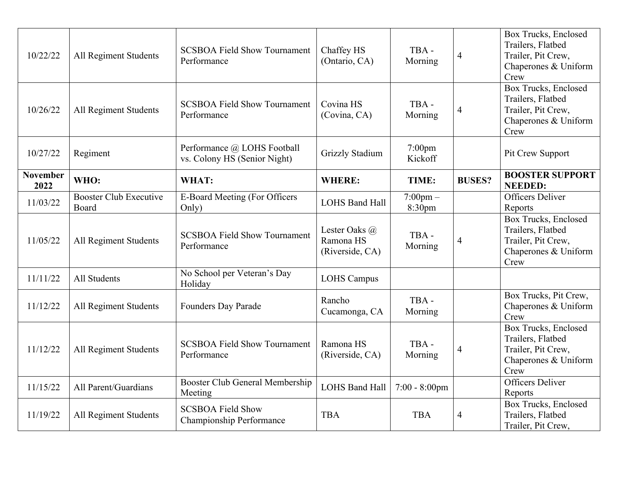| 10/22/22                | All Regiment Students                  | <b>SCSBOA Field Show Tournament</b><br>Performance          | Chaffey HS<br>(Ontario, CA)                   | TBA-<br>Morning              | 4              | Box Trucks, Enclosed<br>Trailers, Flatbed<br>Trailer, Pit Crew,<br>Chaperones & Uniform<br>Crew        |
|-------------------------|----------------------------------------|-------------------------------------------------------------|-----------------------------------------------|------------------------------|----------------|--------------------------------------------------------------------------------------------------------|
| 10/26/22                | All Regiment Students                  | <b>SCSBOA Field Show Tournament</b><br>Performance          | Covina HS<br>(Covina, CA)                     | TBA-<br>Morning              | 4              | <b>Box Trucks, Enclosed</b><br>Trailers, Flatbed<br>Trailer, Pit Crew,<br>Chaperones & Uniform<br>Crew |
| 10/27/22                | Regiment                               | Performance @ LOHS Football<br>vs. Colony HS (Senior Night) | <b>Grizzly Stadium</b>                        | $7:00$ pm<br>Kickoff         |                | Pit Crew Support                                                                                       |
| <b>November</b><br>2022 | WHO:                                   | WHAT:                                                       | <b>WHERE:</b>                                 | TIME:                        | <b>BUSES?</b>  | <b>BOOSTER SUPPORT</b><br><b>NEEDED:</b>                                                               |
| 11/03/22                | <b>Booster Club Executive</b><br>Board | <b>E-Board Meeting (For Officers</b><br>Only)               | <b>LOHS Band Hall</b>                         | $7:00 \text{pm} -$<br>8:30pm |                | <b>Officers Deliver</b><br>Reports                                                                     |
| 11/05/22                | All Regiment Students                  | <b>SCSBOA Field Show Tournament</b><br>Performance          | Lester Oaks @<br>Ramona HS<br>(Riverside, CA) | TBA-<br>Morning              | $\overline{4}$ | Box Trucks, Enclosed<br>Trailers, Flatbed<br>Trailer, Pit Crew,<br>Chaperones & Uniform<br>Crew        |
| 11/11/22                | All Students                           | No School per Veteran's Day<br>Holiday                      | <b>LOHS Campus</b>                            |                              |                |                                                                                                        |
| 11/12/22                | All Regiment Students                  | Founders Day Parade                                         | Rancho<br>Cucamonga, CA                       | TBA-<br>Morning              |                | Box Trucks, Pit Crew,<br>Chaperones & Uniform<br>Crew                                                  |
| 11/12/22                | All Regiment Students                  | <b>SCSBOA Field Show Tournament</b><br>Performance          | Ramona HS<br>(Riverside, CA)                  | TBA-<br>Morning              | $\overline{4}$ | Box Trucks, Enclosed<br>Trailers, Flatbed<br>Trailer, Pit Crew,<br>Chaperones & Uniform<br>Crew        |
| 11/15/22                | All Parent/Guardians                   | Booster Club General Membership<br>Meeting                  | <b>LOHS Band Hall</b>                         | $7:00 - 8:00$ pm             |                | <b>Officers Deliver</b><br>Reports                                                                     |
| 11/19/22                | All Regiment Students                  | <b>SCSBOA Field Show</b><br>Championship Performance        | <b>TBA</b>                                    | <b>TBA</b>                   | 4              | <b>Box Trucks, Enclosed</b><br>Trailers, Flatbed<br>Trailer, Pit Crew,                                 |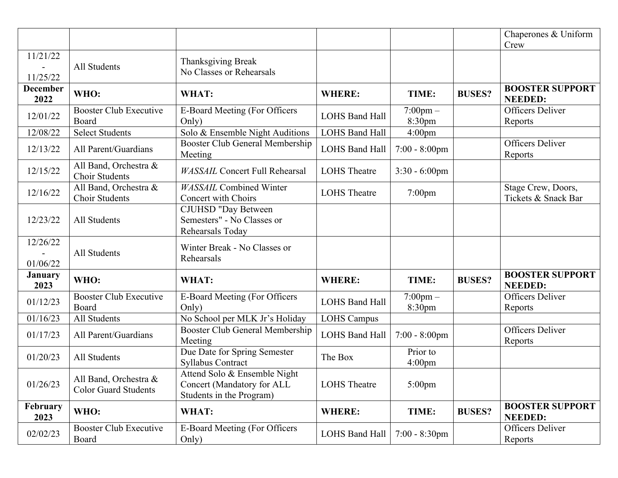|                         |                                                      |                                                                                        |                       |                                |               | Chaperones & Uniform<br>Crew              |
|-------------------------|------------------------------------------------------|----------------------------------------------------------------------------------------|-----------------------|--------------------------------|---------------|-------------------------------------------|
| 11/21/22<br>11/25/22    | All Students                                         | Thanksgiving Break<br>No Classes or Rehearsals                                         |                       |                                |               |                                           |
| <b>December</b><br>2022 | WHO:                                                 | WHAT:                                                                                  | <b>WHERE:</b>         | TIME:                          | <b>BUSES?</b> | <b>BOOSTER SUPPORT</b><br><b>NEEDED:</b>  |
| 12/01/22                | <b>Booster Club Executive</b><br>Board               | <b>E-Board Meeting (For Officers</b><br>Only)                                          | <b>LOHS Band Hall</b> | $7:00 \text{pm} -$<br>8:30pm   |               | <b>Officers Deliver</b><br>Reports        |
| 12/08/22                | <b>Select Students</b>                               | Solo & Ensemble Night Auditions                                                        | <b>LOHS Band Hall</b> | 4:00 <sub>pm</sub>             |               |                                           |
| 12/13/22                | All Parent/Guardians                                 | Booster Club General Membership<br>Meeting                                             | <b>LOHS Band Hall</b> | $7:00 - 8:00$ pm               |               | Officers Deliver<br>Reports               |
| 12/15/22                | All Band, Orchestra &<br><b>Choir Students</b>       | <b>WASSAIL Concert Full Rehearsal</b>                                                  | <b>LOHS</b> Theatre   | $3:30 - 6:00$ pm               |               |                                           |
| 12/16/22                | All Band, Orchestra &<br>Choir Students              | <b>WASSAIL Combined Winter</b><br><b>Concert with Choirs</b>                           | <b>LOHS</b> Theatre   | $7:00$ pm                      |               | Stage Crew, Doors,<br>Tickets & Snack Bar |
| 12/23/22                | All Students                                         | <b>CJUHSD "Day Between</b><br>Semesters" - No Classes or<br>Rehearsals Today           |                       |                                |               |                                           |
| 12/26/22<br>01/06/22    | All Students                                         | Winter Break - No Classes or<br>Rehearsals                                             |                       |                                |               |                                           |
| <b>January</b><br>2023  | WHO:                                                 | WHAT:                                                                                  | <b>WHERE:</b>         | TIME:                          | <b>BUSES?</b> | <b>BOOSTER SUPPORT</b><br><b>NEEDED:</b>  |
| 01/12/23                | <b>Booster Club Executive</b><br>Board               | <b>E-Board Meeting (For Officers</b><br>Only)                                          | <b>LOHS Band Hall</b> | $7:00 \text{pm} -$<br>8:30pm   |               | Officers Deliver<br>Reports               |
| 01/16/23                | All Students                                         | No School per MLK Jr's Holiday                                                         | <b>LOHS Campus</b>    |                                |               |                                           |
| 01/17/23                | All Parent/Guardians                                 | Booster Club General Membership<br>Meeting                                             | <b>LOHS Band Hall</b> | $7:00 - 8:00$ pm               |               | <b>Officers Deliver</b><br>Reports        |
| 01/20/23                | All Students                                         | Due Date for Spring Semester<br><b>Syllabus Contract</b>                               | The Box               | Prior to<br>4:00 <sub>pm</sub> |               |                                           |
| 01/26/23                | All Band, Orchestra &<br><b>Color Guard Students</b> | Attend Solo & Ensemble Night<br>Concert (Mandatory for ALL<br>Students in the Program) | <b>LOHS</b> Theatre   | $5:00$ pm                      |               |                                           |
| February<br>2023        | WHO:                                                 | WHAT:                                                                                  | <b>WHERE:</b>         | TIME:                          | <b>BUSES?</b> | <b>BOOSTER SUPPORT</b><br><b>NEEDED:</b>  |
| 02/02/23                | Booster Club Executive<br>Board                      | E-Board Meeting (For Officers<br>Only)                                                 | <b>LOHS Band Hall</b> | $7:00 - 8:30$ pm               |               | Officers Deliver<br>Reports               |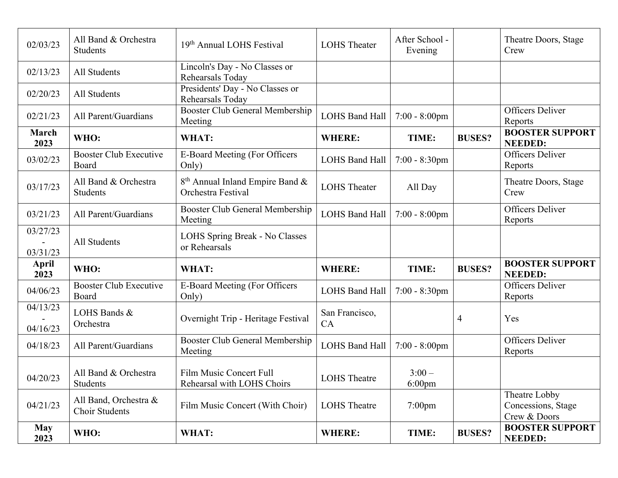| 02/03/23                       | All Band & Orchestra<br><b>Students</b>        | 19th Annual LOHS Festival                                         | <b>LOHS</b> Theater   | After School -<br>Evening |               | Theatre Doors, Stage<br>Crew                        |
|--------------------------------|------------------------------------------------|-------------------------------------------------------------------|-----------------------|---------------------------|---------------|-----------------------------------------------------|
| 02/13/23                       | All Students                                   | Lincoln's Day - No Classes or<br>Rehearsals Today                 |                       |                           |               |                                                     |
| 02/20/23                       | All Students                                   | Presidents' Day - No Classes or<br>Rehearsals Today               |                       |                           |               |                                                     |
| 02/21/23                       | All Parent/Guardians                           | <b>Booster Club General Membership</b><br>Meeting                 | <b>LOHS Band Hall</b> | $7:00 - 8:00$ pm          |               | <b>Officers Deliver</b><br>Reports                  |
| March<br>2023                  | WHO:                                           | WHAT:                                                             | <b>WHERE:</b>         | TIME:                     | <b>BUSES?</b> | <b>BOOSTER SUPPORT</b><br><b>NEEDED:</b>            |
| 03/02/23                       | <b>Booster Club Executive</b><br>Board         | E-Board Meeting (For Officers<br>Only)                            | <b>LOHS Band Hall</b> | $7:00 - 8:30$ pm          |               | <b>Officers Deliver</b><br>Reports                  |
| 03/17/23                       | All Band & Orchestra<br>Students               | 8 <sup>th</sup> Annual Inland Empire Band &<br>Orchestra Festival | <b>LOHS</b> Theater   | All Day                   |               | Theatre Doors, Stage<br>Crew                        |
| 03/21/23                       | All Parent/Guardians                           | <b>Booster Club General Membership</b><br>Meeting                 | <b>LOHS Band Hall</b> | $7:00 - 8:00$ pm          |               | <b>Officers Deliver</b><br>Reports                  |
| 03/27/23<br>$\sim$<br>03/31/23 | All Students                                   | LOHS Spring Break - No Classes<br>or Rehearsals                   |                       |                           |               |                                                     |
| April<br>2023                  | WHO:                                           | WHAT:                                                             | <b>WHERE:</b>         | TIME:                     | <b>BUSES?</b> | <b>BOOSTER SUPPORT</b><br><b>NEEDED:</b>            |
| 04/06/23                       | <b>Booster Club Executive</b><br>Board         | <b>E-Board Meeting (For Officers</b><br>Only)                     | <b>LOHS Band Hall</b> | $7:00 - 8:30$ pm          |               | <b>Officers Deliver</b><br>Reports                  |
| 04/13/23<br>04/16/23           | LOHS Bands &<br>Orchestra                      | Overnight Trip - Heritage Festival                                | San Francisco,<br>CA  |                           | 4             | Yes                                                 |
| 04/18/23                       | All Parent/Guardians                           | Booster Club General Membership<br>Meeting                        | <b>LOHS Band Hall</b> | $7:00 - 8:00$ pm          |               | <b>Officers Deliver</b><br>Reports                  |
| 04/20/23                       | All Band & Orchestra<br>Students               | <b>Film Music Concert Full</b><br>Rehearsal with LOHS Choirs      | <b>LOHS</b> Theatre   | $3:00-$<br>$6:00$ pm      |               |                                                     |
| 04/21/23                       | All Band, Orchestra &<br><b>Choir Students</b> | Film Music Concert (With Choir)                                   | <b>LOHS</b> Theatre   | $7:00$ pm                 |               | Theatre Lobby<br>Concessions, Stage<br>Crew & Doors |
| <b>May</b><br>2023             | WHO:                                           | WHAT:                                                             | <b>WHERE:</b>         | TIME:                     | <b>BUSES?</b> | <b>BOOSTER SUPPORT</b><br><b>NEEDED:</b>            |